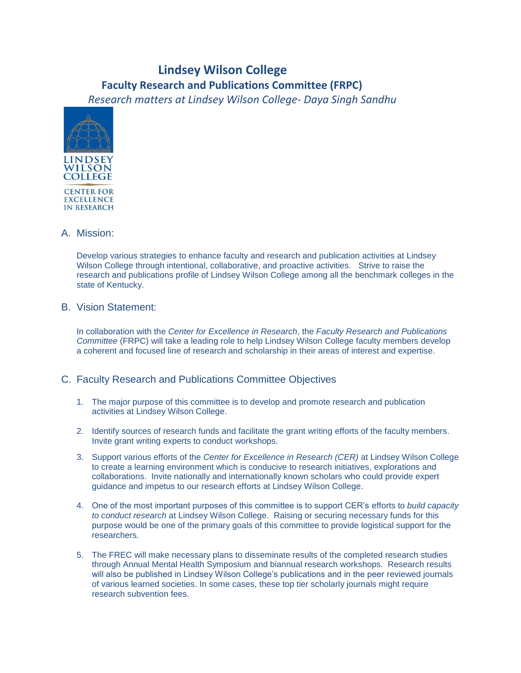## **Lindsey Wilson College Faculty Research and Publications Committee (FRPC)**

*Research matters at Lindsey Wilson College- Daya Singh Sandhu*



## A. Mission:

Develop various strategies to enhance faculty and research and publication activities at Lindsey Wilson College through intentional, collaborative, and proactive activities. Strive to raise the research and publications profile of Lindsey Wilson College among all the benchmark colleges in the state of Kentucky.

## B. Vision Statement:

In collaboration with the *Center for Excellence in Research*, the *Faculty Research and Publications Committee* (FRPC) will take a leading role to help Lindsey Wilson College faculty members develop a coherent and focused line of research and scholarship in their areas of interest and expertise.

## C. Faculty Research and Publications Committee Objectives

- 1. The major purpose of this committee is to develop and promote research and publication activities at Lindsey Wilson College.
- 2. Identify sources of research funds and facilitate the grant writing efforts of the faculty members. Invite grant writing experts to conduct workshops.
- 3. Support various efforts of the *Center for Excellence in Research (CER)* at Lindsey Wilson College to create a learning environment which is conducive to research initiatives, explorations and collaborations. Invite nationally and internationally known scholars who could provide expert guidance and impetus to our research efforts at Lindsey Wilson College.
- 4. One of the most important purposes of this committee is to support CER's efforts to *build capacity to conduct research* at Lindsey Wilson College. Raising or securing necessary funds for this purpose would be one of the primary goals of this committee to provide logistical support for the researchers.
- 5. The FREC will make necessary plans to disseminate results of the completed research studies through Annual Mental Health Symposium and biannual research workshops. Research results will also be published in Lindsey Wilson College's publications and in the peer reviewed journals of various learned societies. In some cases, these top tier scholarly journals might require research subvention fees.